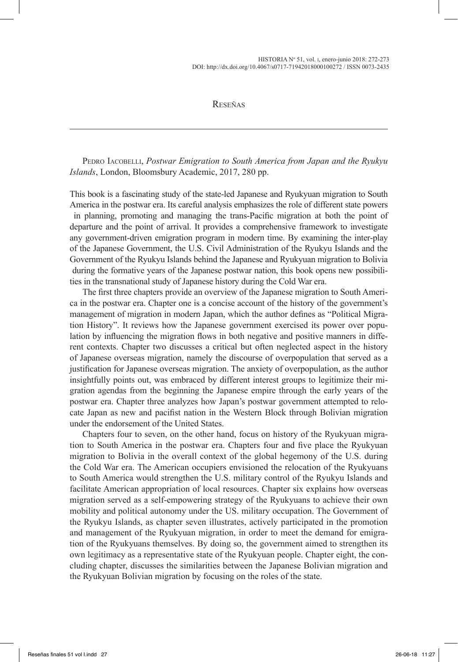Reseñas

PEDRO IACOBELLI, *Postwar Emigration to South America from Japan and the Ryukyu Islands*, London, Bloomsbury Academic, 2017, 280 pp.

This book is a fascinating study of the state-led Japanese and Ryukyuan migration to South America in the postwar era. Its careful analysis emphasizes the role of different state powers in planning, promoting and managing the trans-Pacific migration at both the point of departure and the point of arrival. It provides a comprehensive framework to investigate any government-driven emigration program in modern time. By examining the inter-play of the Japanese Government, the U.S. Civil Administration of the Ryukyu Islands and the Government of the Ryukyu Islands behind the Japanese and Ryukyuan migration to Bolivia during the formative years of the Japanese postwar nation, this book opens new possibilities in the transnational study of Japanese history during the Cold War era.

The first three chapters provide an overview of the Japanese migration to South America in the postwar era. Chapter one is a concise account of the history of the government's management of migration in modern Japan, which the author defines as "Political Migration History". It reviews how the Japanese government exercised its power over population by influencing the migration flows in both negative and positive manners in different contexts. Chapter two discusses a critical but often neglected aspect in the history of Japanese overseas migration, namely the discourse of overpopulation that served as a justification for Japanese overseas migration. The anxiety of overpopulation, as the author insightfully points out, was embraced by different interest groups to legitimize their migration agendas from the beginning the Japanese empire through the early years of the postwar era. Chapter three analyzes how Japan's postwar government attempted to relocate Japan as new and pacifist nation in the Western Block through Bolivian migration under the endorsement of the United States.

Chapters four to seven, on the other hand, focus on history of the Ryukyuan migration to South America in the postwar era. Chapters four and five place the Ryukyuan migration to Bolivia in the overall context of the global hegemony of the U.S. during the Cold War era. The American occupiers envisioned the relocation of the Ryukyuans to South America would strengthen the U.S. military control of the Ryukyu Islands and facilitate American appropriation of local resources. Chapter six explains how overseas migration served as a self-empowering strategy of the Ryukyuans to achieve their own mobility and political autonomy under the US. military occupation. The Government of the Ryukyu Islands, as chapter seven illustrates, actively participated in the promotion and management of the Ryukyuan migration, in order to meet the demand for emigration of the Ryukyuans themselves. By doing so, the government aimed to strengthen its own legitimacy as a representative state of the Ryukyuan people. Chapter eight, the concluding chapter, discusses the similarities between the Japanese Bolivian migration and the Ryukyuan Bolivian migration by focusing on the roles of the state.